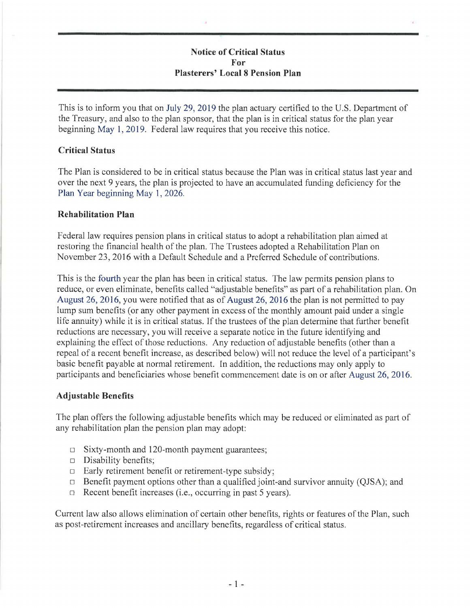# **Notice of Critical Status For Plasterers' Local 8 Pension Plan**

This is to inform you that on July 29, 2019 the plan actuary certified to the U.S. Department of the Treasury, and also to the plan sponsor, that the plan is in critical status for the plan year beginning May 1, 2019. Federal law requires that you receive this notice.

### **Critical Status**

The Plan is considered to be in critical status because the Plan was in critical status last year and over the next 9 years, the plan is projected to have an accumulated funding deficiency for the Plan Year beginning May 1, 2026.

#### **Rehabilitation Plan**

Federal law requires pension plans in critical status to adopt a rehabilitation plan aimed at restoring the financial health of the plan. The Trustees adopted a Rehabilitation Plan on November 23, 2016 with a Default Schedule and a Preferred Schedule of contributions.

This is the fourth year the plan has been in critical status. The law permits pension plans to reduce, or even eliminate, benefits called "adjustable benefits" as part of a rehabilitation plan. On August 26, 2016, you were notified that as of August 26, 2016 the plan is not permitted to pay lump sum benefits (or any other payment in excess of the monthly amount paid under a single life annuity) while it is in critical status. If the trustees of the plan determine that further benefit reductions are necessary, you will receive a separate notice in the future identifying and explaining the effect of those reductions. Any reduction of adjustable benefits ( other than a repeal of a recent benefit increase, as described below) will not reduce the level of a participant's basic benefit payable at normal retirement. In addition, the reductions may only apply to participants and beneficiaries whose benefit commencement date is on or after August 26, 2016.

# **Adjustable Benefits**

The plan offers the following adjustable benefits which may be reduced or eliminated as part of any rehabilitation plan the pension plan may adopt:

- $\Box$  Sixty-month and 120-month payment guarantees;
- □ Disability benefits;
- □ Early retirement benefit or retirement-type subsidy;
- □ Benefit payment options other than a qualified joint-and survivor annuity (QJSA); and
- □ Recent benefit increases (i.e., occurring in past 5 years).

Current law also allows elimination of certain other benefits, rights or features of the Plan, such as post-retirement increases and ancillary benefits, regardless of critical status.